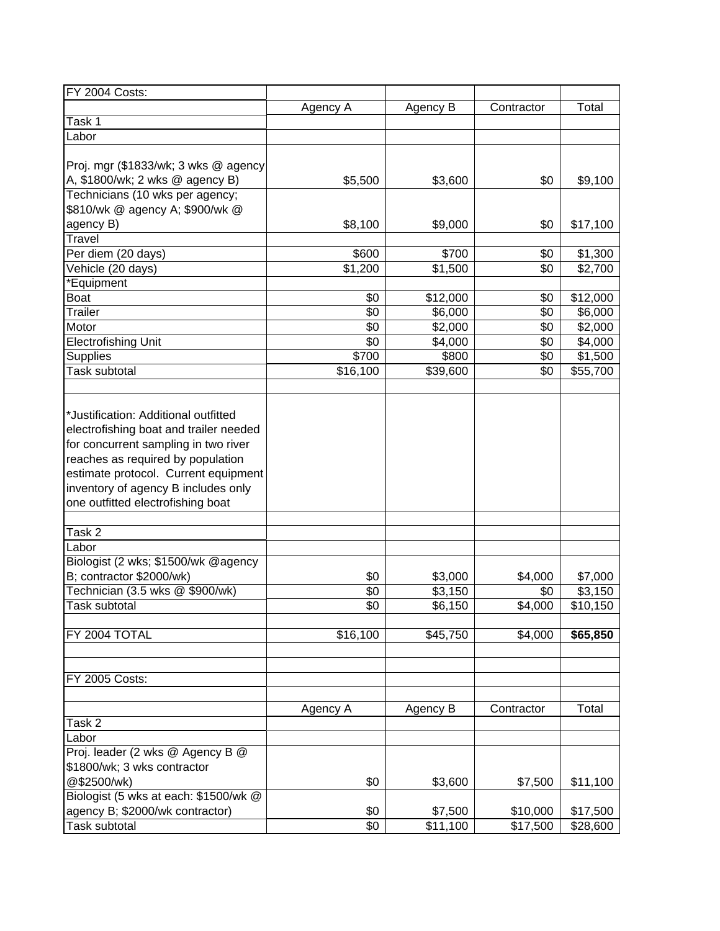| <b>FY 2004 Costs:</b>                  |          |                      |            |          |
|----------------------------------------|----------|----------------------|------------|----------|
|                                        | Agency A | Agency B             | Contractor | Total    |
| Task 1                                 |          |                      |            |          |
| Labor                                  |          |                      |            |          |
|                                        |          |                      |            |          |
| Proj. mgr (\$1833/wk; 3 wks @ agency   |          |                      |            |          |
| A, \$1800/wk; 2 wks @ agency B)        | \$5,500  | \$3,600              | \$0        | \$9,100  |
| Technicians (10 wks per agency;        |          |                      |            |          |
| \$810/wk @ agency A; \$900/wk @        |          |                      |            |          |
| agency B)                              | \$8,100  | \$9,000              | \$0        | \$17,100 |
| <b>Travel</b>                          |          |                      |            |          |
| Per diem (20 days)                     | \$600    | \$700                | \$0        | \$1,300  |
| Vehicle (20 days)                      | \$1,200  | \$1,500              | \$0        | \$2,700  |
|                                        |          |                      |            |          |
| *Equipment                             |          |                      |            |          |
| <b>Boat</b>                            | \$0      | \$12,000             | \$0        | \$12,000 |
| <b>Trailer</b>                         | \$0      | \$6,000              | \$0        | \$6,000  |
| Motor                                  | \$0      | \$2,000              | \$0        | \$2,000  |
| <b>Electrofishing Unit</b>             | \$0      | \$4,000              | \$0        | \$4,000  |
| Supplies                               | \$700    | \$800                | \$0        | \$1,500  |
| <b>Task subtotal</b>                   | \$16,100 | \$39,600             | \$0        | \$55,700 |
|                                        |          |                      |            |          |
|                                        |          |                      |            |          |
| *Justification: Additional outfitted   |          |                      |            |          |
| electrofishing boat and trailer needed |          |                      |            |          |
| for concurrent sampling in two river   |          |                      |            |          |
| reaches as required by population      |          |                      |            |          |
| estimate protocol. Current equipment   |          |                      |            |          |
| inventory of agency B includes only    |          |                      |            |          |
| one outfitted electrofishing boat      |          |                      |            |          |
|                                        |          |                      |            |          |
| Task 2                                 |          |                      |            |          |
| Labor                                  |          |                      |            |          |
| Biologist (2 wks; \$1500/wk @agency    |          |                      |            |          |
| B; contractor \$2000/wk)               | \$0      | \$3,000              | \$4,000    | \$7,000  |
| Technician (3.5 wks @ \$900/wk)        | \$0      | \$3,150              | \$0        | \$3,150  |
| Task subtotal                          | \$0      | \$6,150              | \$4,000    | \$10,150 |
|                                        |          |                      |            |          |
| FY 2004 TOTAL                          | \$16,100 | \$45,750             | \$4,000    | \$65,850 |
|                                        |          |                      |            |          |
|                                        |          |                      |            |          |
|                                        |          |                      |            |          |
| <b>FY 2005 Costs:</b>                  |          |                      |            |          |
|                                        |          |                      |            |          |
|                                        | Agency A | Agency B             | Contractor | Total    |
| Task 2                                 |          |                      |            |          |
| Labor                                  |          |                      |            |          |
| Proj. leader (2 wks @ Agency B @       |          |                      |            |          |
| \$1800/wk; 3 wks contractor            |          |                      |            |          |
| @\$2500/wk)                            | \$0      | \$3,600              | \$7,500    | \$11,100 |
| Biologist (5 wks at each: \$1500/wk @  |          |                      |            |          |
| agency B; \$2000/wk contractor)        | \$0      | \$7,500              | \$10,000   | \$17,500 |
| Task subtotal                          | \$0      | $\overline{$}11,100$ | \$17,500   | \$28,600 |